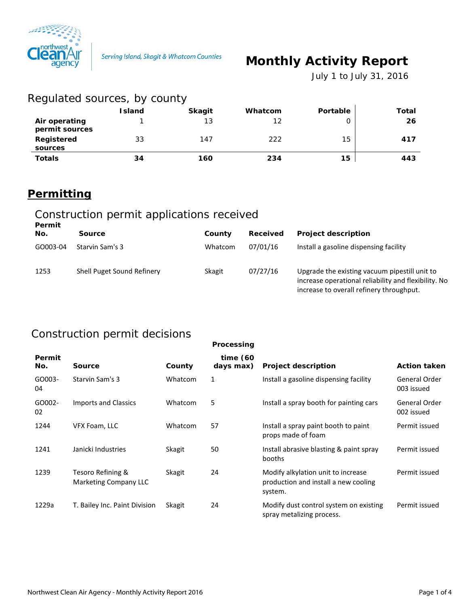

# **Monthly Activity Report**

 *July 1 to July 31, 2016*

| Regulated sources, by county    |               |               |         |          |       |  |
|---------------------------------|---------------|---------------|---------|----------|-------|--|
|                                 | <b>Island</b> | <b>Skagit</b> | Whatcom | Portable | Total |  |
| Air operating<br>permit sources |               | 13            | 12      | 0        | 26    |  |
| Registered<br>sources           | 33            | 147           | 222     | 15       | 417   |  |
| <b>Totals</b>                   | 34            | 160           | 234     | 15       | 443   |  |

### **Permitting**

#### Construction permit applications received **Permit**

| генни<br>No. | Source                     | County  | Received | <b>Project description</b>                                                                                                                        |
|--------------|----------------------------|---------|----------|---------------------------------------------------------------------------------------------------------------------------------------------------|
| GO003-04     | Starvin Sam's 3            | Whatcom | 07/01/16 | Install a gasoline dispensing facility                                                                                                            |
| 1253         | Shell Puget Sound Refinery | Skagit  | 07/27/16 | Upgrade the existing vacuum pipestill unit to<br>increase operational reliability and flexibility. No<br>increase to overall refinery throughput. |

### Construction permit decisions

|               |                                            |         | Processing            |                                                                                       |                             |
|---------------|--------------------------------------------|---------|-----------------------|---------------------------------------------------------------------------------------|-----------------------------|
| Permit<br>No. | <b>Source</b>                              | County  | time(60)<br>days max) | <b>Project description</b>                                                            | <b>Action taken</b>         |
| GO003-<br>04  | Starvin Sam's 3                            | Whatcom | 1                     | Install a gasoline dispensing facility                                                | General Order<br>003 issued |
| GO002-<br>02  | Imports and Classics                       | Whatcom | 5                     | Install a spray booth for painting cars                                               | General Order<br>002 issued |
| 1244          | VFX Foam, LLC                              | Whatcom | 57                    | Install a spray paint booth to paint<br>props made of foam                            | Permit issued               |
| 1241          | Janicki Industries                         | Skagit  | 50                    | Install abrasive blasting & paint spray<br>booths                                     | Permit issued               |
| 1239          | Tesoro Refining &<br>Marketing Company LLC | Skagit  | 24                    | Modify alkylation unit to increase<br>production and install a new cooling<br>system. | Permit issued               |
| 1229a         | T. Bailey Inc. Paint Division              | Skagit  | 24                    | Modify dust control system on existing<br>spray metalizing process.                   | Permit issued               |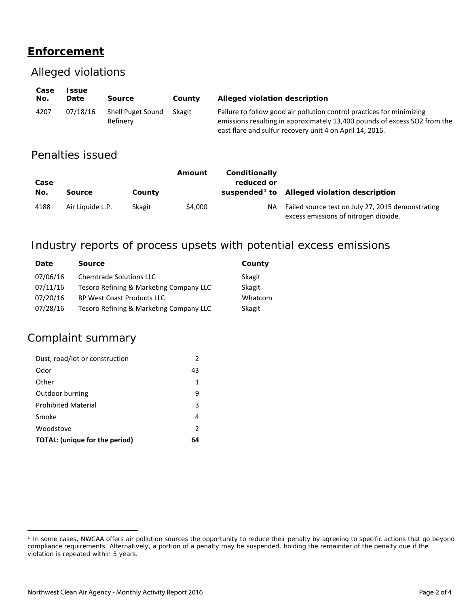## **Enforcement**

#### Alleged violations

| Case<br>No. | ssue<br>Date | Source                        | County | Alleged violation description                                                                                                                                                                                  |
|-------------|--------------|-------------------------------|--------|----------------------------------------------------------------------------------------------------------------------------------------------------------------------------------------------------------------|
| 4207        | 07/18/16     | Shell Puget Sound<br>Refinery | Skagit | Failure to follow good air pollution control practices for minimizing<br>emissions resulting in approximately 13,400 pounds of excess SO2 from the<br>east flare and sulfur recovery unit 4 on April 14, 2016. |

### Penalties issued

| Case<br>No. | <b>Source</b>    | County | Amount  | Conditionally<br>reduced or | suspended <sup>1</sup> to Alleged violation description                                    |
|-------------|------------------|--------|---------|-----------------------------|--------------------------------------------------------------------------------------------|
| 4188        | Air Liquide L.P. | Skagit | \$4,000 | <b>NA</b>                   | Failed source test on July 27, 2015 demonstrating<br>excess emissions of nitrogen dioxide. |

### Industry reports of process upsets with potential excess emissions

| Date     | <b>Source</b>                           | County  |
|----------|-----------------------------------------|---------|
| 07/06/16 | <b>Chemtrade Solutions LLC</b>          | Skagit  |
| 07/11/16 | Tesoro Refining & Marketing Company LLC | Skagit  |
| 07/20/16 | <b>BP West Coast Products LLC</b>       | Whatcom |
| 07/28/16 | Tesoro Refining & Marketing Company LLC | Skagit  |

### Complaint summary

 $\overline{a}$ 

| Dust, road/lot or construction        |               |
|---------------------------------------|---------------|
| Odor                                  | 43            |
| Other                                 | 1             |
| Outdoor burning                       | q             |
| <b>Prohibited Material</b>            | 3             |
| Smoke                                 | 4             |
| Woodstove                             | $\mathcal{P}$ |
| <b>TOTAL:</b> (unique for the period) | 64            |

<span id="page-1-0"></span><sup>&</sup>lt;sup>1</sup> In some cases, NWCAA offers air pollution sources the opportunity to reduce their penalty by agreeing to specific actions that go beyond compliance requirements. Alternatively, a portion of a penalty may be suspended, holding the remainder of the penalty due if the violation is repeated within 5 years.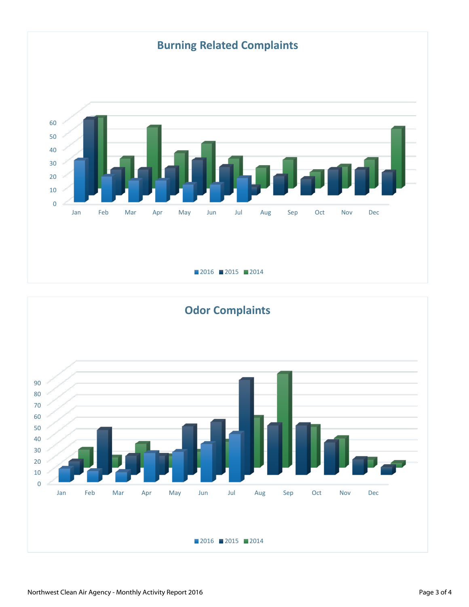

■ 2016 ■ 2015 ■ 2014